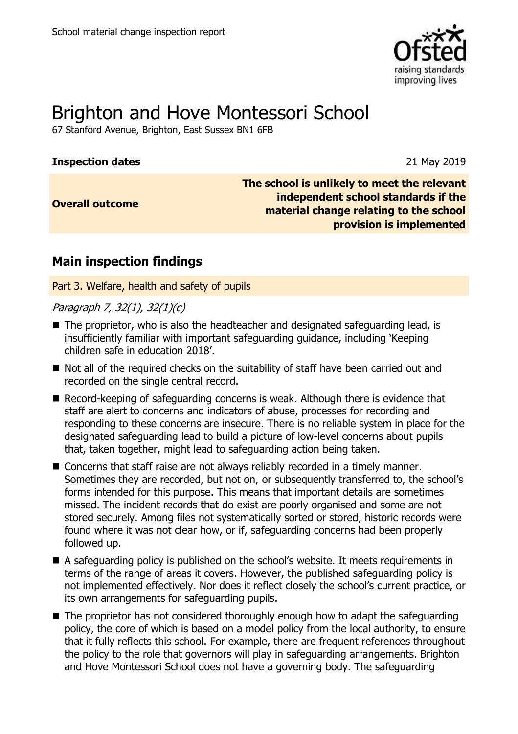

# Brighton and Hove Montessori School

67 Stanford Avenue, Brighton, East Sussex BN1 6FB

#### **Inspection dates** 21 May 2019

**Overall outcome**

**The school is unlikely to meet the relevant independent school standards if the material change relating to the school provision is implemented**

## **Main inspection findings**

Part 3. Welfare, health and safety of pupils

Paragraph 7, 32(1), 32(1)(c)

- The proprietor, who is also the headteacher and designated safeguarding lead, is insufficiently familiar with important safeguarding guidance, including 'Keeping children safe in education 2018'.
- Not all of the required checks on the suitability of staff have been carried out and recorded on the single central record.
- Record-keeping of safeguarding concerns is weak. Although there is evidence that staff are alert to concerns and indicators of abuse, processes for recording and responding to these concerns are insecure. There is no reliable system in place for the designated safeguarding lead to build a picture of low-level concerns about pupils that, taken together, might lead to safeguarding action being taken.
- Concerns that staff raise are not always reliably recorded in a timely manner. Sometimes they are recorded, but not on, or subsequently transferred to, the school's forms intended for this purpose. This means that important details are sometimes missed. The incident records that do exist are poorly organised and some are not stored securely. Among files not systematically sorted or stored, historic records were found where it was not clear how, or if, safeguarding concerns had been properly followed up.
- A safeguarding policy is published on the school's website. It meets requirements in terms of the range of areas it covers. However, the published safeguarding policy is not implemented effectively. Nor does it reflect closely the school's current practice, or its own arrangements for safeguarding pupils.
- The proprietor has not considered thoroughly enough how to adapt the safeguarding policy, the core of which is based on a model policy from the local authority, to ensure that it fully reflects this school. For example, there are frequent references throughout the policy to the role that governors will play in safeguarding arrangements. Brighton and Hove Montessori School does not have a governing body. The safeguarding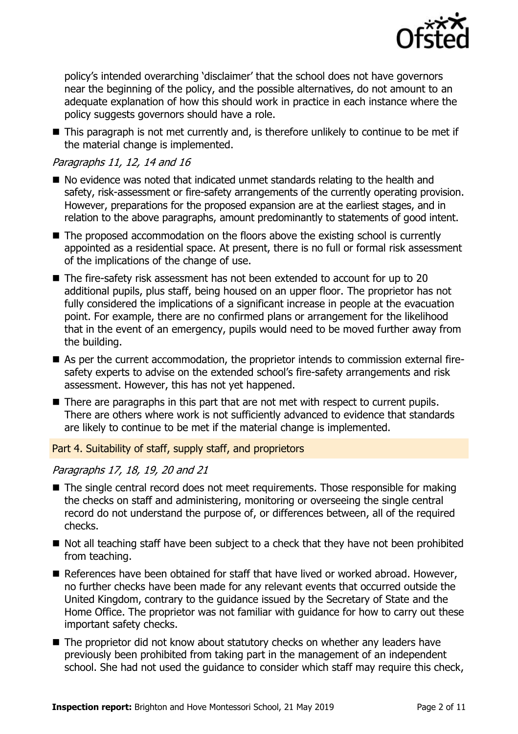

policy's intended overarching 'disclaimer' that the school does not have governors near the beginning of the policy, and the possible alternatives, do not amount to an adequate explanation of how this should work in practice in each instance where the policy suggests governors should have a role.

■ This paragraph is not met currently and, is therefore unlikely to continue to be met if the material change is implemented.

#### Paragraphs 11, 12, 14 and 16

- No evidence was noted that indicated unmet standards relating to the health and safety, risk-assessment or fire-safety arrangements of the currently operating provision. However, preparations for the proposed expansion are at the earliest stages, and in relation to the above paragraphs, amount predominantly to statements of good intent.
- The proposed accommodation on the floors above the existing school is currently appointed as a residential space. At present, there is no full or formal risk assessment of the implications of the change of use.
- The fire-safety risk assessment has not been extended to account for up to 20 additional pupils, plus staff, being housed on an upper floor. The proprietor has not fully considered the implications of a significant increase in people at the evacuation point. For example, there are no confirmed plans or arrangement for the likelihood that in the event of an emergency, pupils would need to be moved further away from the building.
- As per the current accommodation, the proprietor intends to commission external firesafety experts to advise on the extended school's fire-safety arrangements and risk assessment. However, this has not yet happened.
- There are paragraphs in this part that are not met with respect to current pupils. There are others where work is not sufficiently advanced to evidence that standards are likely to continue to be met if the material change is implemented.

Part 4. Suitability of staff, supply staff, and proprietors

#### Paragraphs 17, 18, 19, 20 and 21

- The single central record does not meet requirements. Those responsible for making the checks on staff and administering, monitoring or overseeing the single central record do not understand the purpose of, or differences between, all of the required checks.
- Not all teaching staff have been subject to a check that they have not been prohibited from teaching.
- References have been obtained for staff that have lived or worked abroad. However, no further checks have been made for any relevant events that occurred outside the United Kingdom, contrary to the guidance issued by the Secretary of State and the Home Office. The proprietor was not familiar with guidance for how to carry out these important safety checks.
- The proprietor did not know about statutory checks on whether any leaders have previously been prohibited from taking part in the management of an independent school. She had not used the guidance to consider which staff may require this check,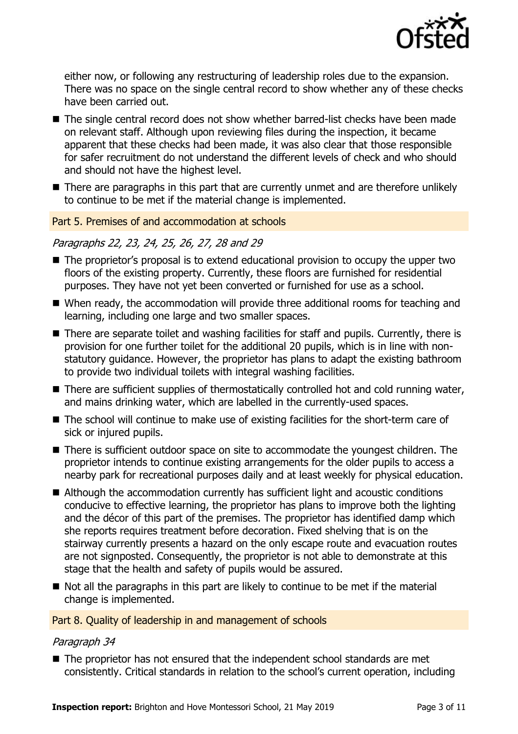

either now, or following any restructuring of leadership roles due to the expansion. There was no space on the single central record to show whether any of these checks have been carried out.

- The single central record does not show whether barred-list checks have been made on relevant staff. Although upon reviewing files during the inspection, it became apparent that these checks had been made, it was also clear that those responsible for safer recruitment do not understand the different levels of check and who should and should not have the highest level.
- There are paragraphs in this part that are currently unmet and are therefore unlikely to continue to be met if the material change is implemented.

#### Part 5. Premises of and accommodation at schools

#### Paragraphs 22, 23, 24, 25, 26, 27, 28 and 29

- The proprietor's proposal is to extend educational provision to occupy the upper two floors of the existing property. Currently, these floors are furnished for residential purposes. They have not yet been converted or furnished for use as a school.
- When ready, the accommodation will provide three additional rooms for teaching and learning, including one large and two smaller spaces.
- There are separate toilet and washing facilities for staff and pupils. Currently, there is provision for one further toilet for the additional 20 pupils, which is in line with nonstatutory guidance. However, the proprietor has plans to adapt the existing bathroom to provide two individual toilets with integral washing facilities.
- $\blacksquare$  There are sufficient supplies of thermostatically controlled hot and cold running water, and mains drinking water, which are labelled in the currently-used spaces.
- The school will continue to make use of existing facilities for the short-term care of sick or injured pupils.
- There is sufficient outdoor space on site to accommodate the youngest children. The proprietor intends to continue existing arrangements for the older pupils to access a nearby park for recreational purposes daily and at least weekly for physical education.
- Although the accommodation currently has sufficient light and acoustic conditions conducive to effective learning, the proprietor has plans to improve both the lighting and the décor of this part of the premises. The proprietor has identified damp which she reports requires treatment before decoration. Fixed shelving that is on the stairway currently presents a hazard on the only escape route and evacuation routes are not signposted. Consequently, the proprietor is not able to demonstrate at this stage that the health and safety of pupils would be assured.
- Not all the paragraphs in this part are likely to continue to be met if the material change is implemented.

#### Part 8. Quality of leadership in and management of schools

#### Paragraph 34

■ The proprietor has not ensured that the independent school standards are met consistently. Critical standards in relation to the school's current operation, including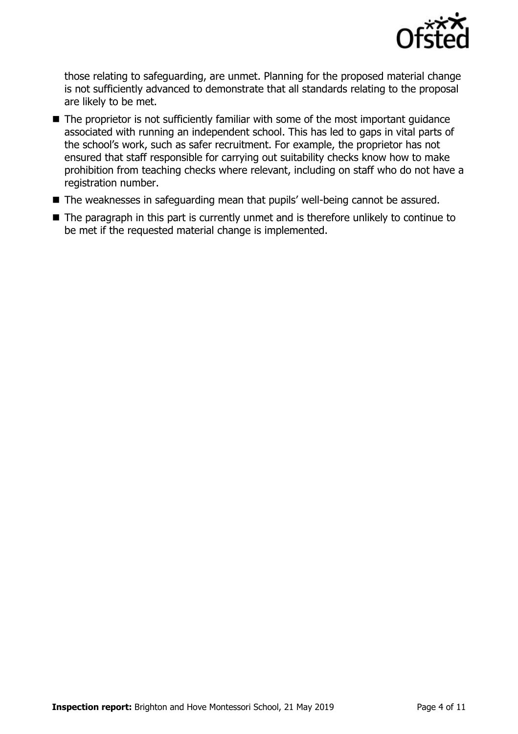

those relating to safeguarding, are unmet. Planning for the proposed material change is not sufficiently advanced to demonstrate that all standards relating to the proposal are likely to be met.

- The proprietor is not sufficiently familiar with some of the most important guidance associated with running an independent school. This has led to gaps in vital parts of the school's work, such as safer recruitment. For example, the proprietor has not ensured that staff responsible for carrying out suitability checks know how to make prohibition from teaching checks where relevant, including on staff who do not have a registration number.
- The weaknesses in safeguarding mean that pupils' well-being cannot be assured.
- The paragraph in this part is currently unmet and is therefore unlikely to continue to be met if the requested material change is implemented.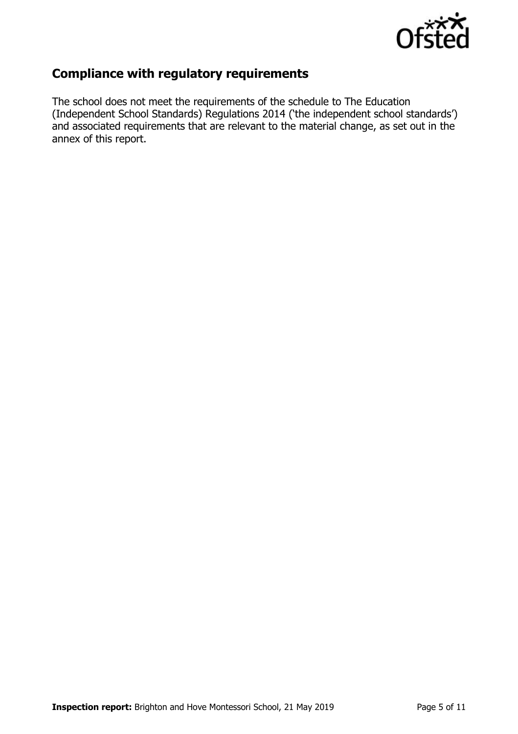

## **Compliance with regulatory requirements**

The school does not meet the requirements of the schedule to The Education (Independent School Standards) Regulations 2014 ('the independent school standards') and associated requirements that are relevant to the material change, as set out in the annex of this report.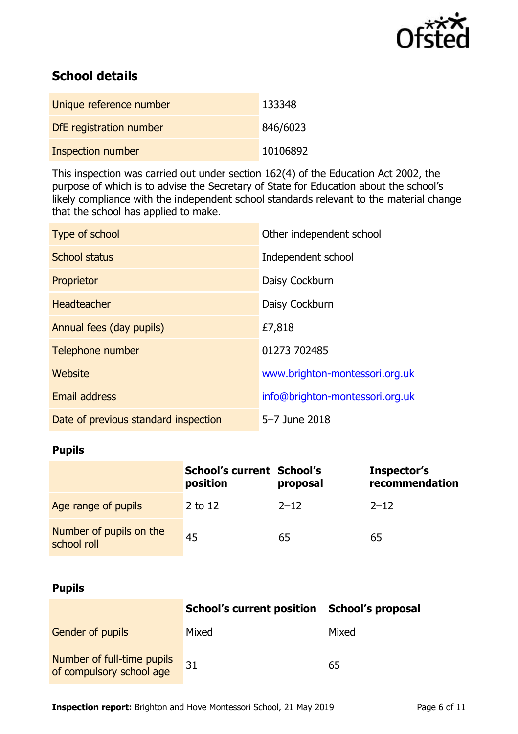

# **School details**

| Unique reference number  | 133348   |
|--------------------------|----------|
| DfE registration number  | 846/6023 |
| <b>Inspection number</b> | 10106892 |

This inspection was carried out under section 162(4) of the Education Act 2002, the purpose of which is to advise the Secretary of State for Education about the school's likely compliance with the independent school standards relevant to the material change that the school has applied to make.

| Type of school                       | Other independent school        |
|--------------------------------------|---------------------------------|
| School status                        | Independent school              |
| Proprietor                           | Daisy Cockburn                  |
| <b>Headteacher</b>                   | Daisy Cockburn                  |
| Annual fees (day pupils)             | £7,818                          |
| Telephone number                     | 01273 702485                    |
| Website                              | www.brighton-montessori.org.uk  |
| <b>Email address</b>                 | info@brighton-montessori.org.uk |
| Date of previous standard inspection | 5-7 June 2018                   |

## **Pupils**

|                                        | School's current School's<br>position | proposal | Inspector's<br>recommendation |
|----------------------------------------|---------------------------------------|----------|-------------------------------|
| Age range of pupils                    | 2 to 12                               | $2 - 12$ | $2 - 12$                      |
| Number of pupils on the<br>school roll | 45                                    | 65       | 65                            |

#### **Pupils**

|                                                        | School's current position School's proposal |       |
|--------------------------------------------------------|---------------------------------------------|-------|
| <b>Gender of pupils</b>                                | Mixed                                       | Mixed |
| Number of full-time pupils<br>of compulsory school age | 31                                          | 65    |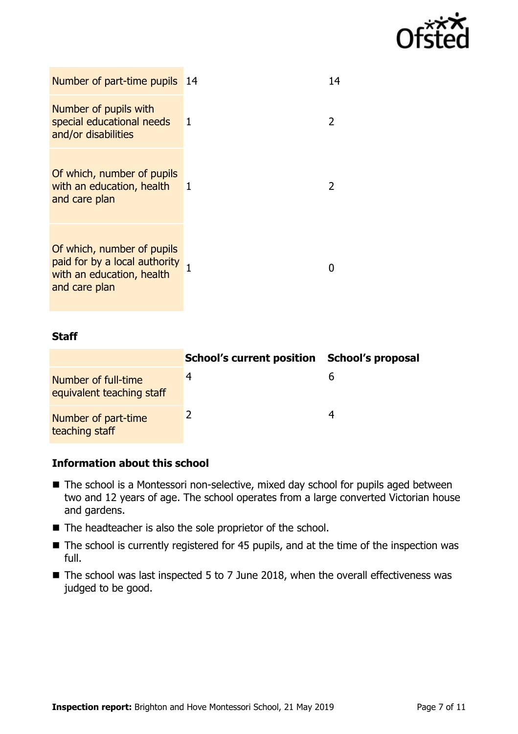

| Number of part-time pupils 14                                                                             |              | 14             |
|-----------------------------------------------------------------------------------------------------------|--------------|----------------|
| Number of pupils with<br>special educational needs<br>and/or disabilities                                 | $\mathbf{1}$ | $\overline{2}$ |
| Of which, number of pupils<br>with an education, health<br>and care plan                                  | 1            | 2              |
| Of which, number of pupils<br>paid for by a local authority<br>with an education, health<br>and care plan |              | $\mathbf{I}$   |

#### **Staff**

|                                                  | School's current position School's proposal |  |
|--------------------------------------------------|---------------------------------------------|--|
| Number of full-time<br>equivalent teaching staff |                                             |  |
| Number of part-time<br>teaching staff            |                                             |  |

#### **Information about this school**

- The school is a Montessori non-selective, mixed day school for pupils aged between two and 12 years of age. The school operates from a large converted Victorian house and gardens.
- The headteacher is also the sole proprietor of the school.
- The school is currently registered for 45 pupils, and at the time of the inspection was full.
- The school was last inspected 5 to 7 June 2018, when the overall effectiveness was judged to be good.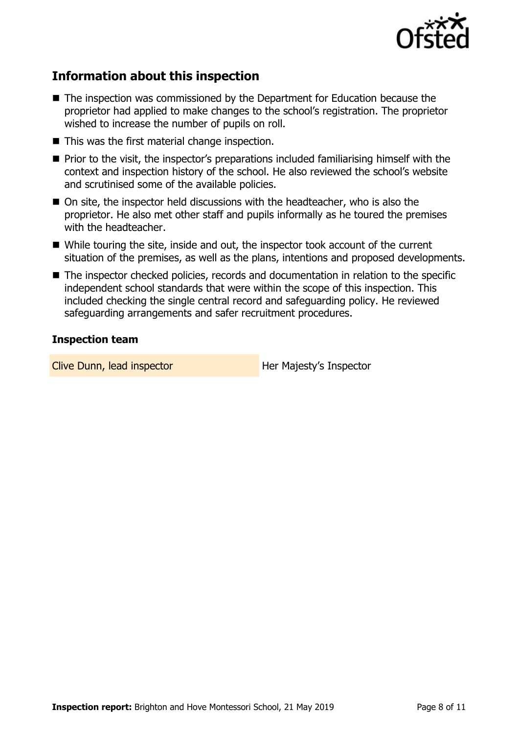

## **Information about this inspection**

- The inspection was commissioned by the Department for Education because the proprietor had applied to make changes to the school's registration. The proprietor wished to increase the number of pupils on roll.
- This was the first material change inspection.
- Prior to the visit, the inspector's preparations included familiarising himself with the context and inspection history of the school. He also reviewed the school's website and scrutinised some of the available policies.
- On site, the inspector held discussions with the headteacher, who is also the proprietor. He also met other staff and pupils informally as he toured the premises with the headteacher.
- While touring the site, inside and out, the inspector took account of the current situation of the premises, as well as the plans, intentions and proposed developments.
- The inspector checked policies, records and documentation in relation to the specific independent school standards that were within the scope of this inspection. This included checking the single central record and safeguarding policy. He reviewed safeguarding arrangements and safer recruitment procedures.

#### **Inspection team**

Clive Dunn, lead inspector **Her Majesty's Inspector**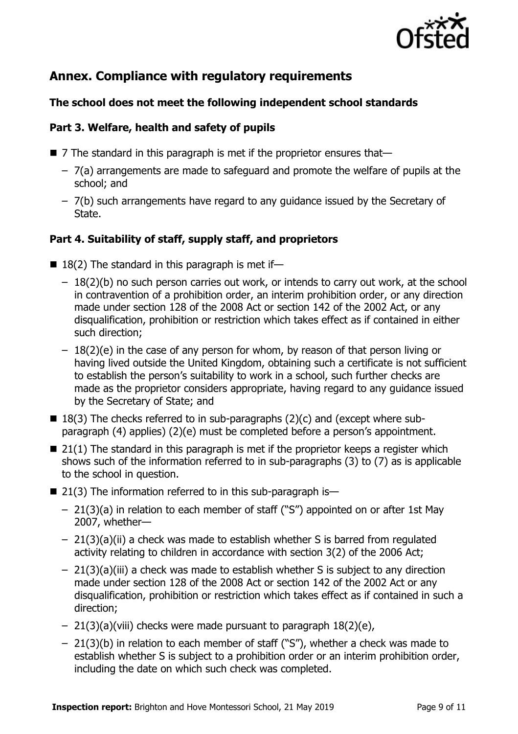

## **Annex. Compliance with regulatory requirements**

#### **The school does not meet the following independent school standards**

#### **Part 3. Welfare, health and safety of pupils**

- $\blacksquare$  7 The standard in this paragraph is met if the proprietor ensures that-
	- 7(a) arrangements are made to safeguard and promote the welfare of pupils at the school; and
	- 7(b) such arrangements have regard to any guidance issued by the Secretary of State.

#### **Part 4. Suitability of staff, supply staff, and proprietors**

- $\blacksquare$  18(2) The standard in this paragraph is met if-
	- 18(2)(b) no such person carries out work, or intends to carry out work, at the school in contravention of a prohibition order, an interim prohibition order, or any direction made under section 128 of the 2008 Act or section 142 of the 2002 Act, or any disqualification, prohibition or restriction which takes effect as if contained in either such direction;
	- $-18(2)(e)$  in the case of any person for whom, by reason of that person living or having lived outside the United Kingdom, obtaining such a certificate is not sufficient to establish the person's suitability to work in a school, such further checks are made as the proprietor considers appropriate, having regard to any guidance issued by the Secretary of State; and
- $\blacksquare$  18(3) The checks referred to in sub-paragraphs (2)(c) and (except where subparagraph (4) applies) (2)(e) must be completed before a person's appointment.
- $\blacksquare$  21(1) The standard in this paragraph is met if the proprietor keeps a register which shows such of the information referred to in sub-paragraphs (3) to (7) as is applicable to the school in question.
- $\blacksquare$  21(3) The information referred to in this sub-paragraph is—
	- 21(3)(a) in relation to each member of staff ("S") appointed on or after 1st May 2007, whether—
	- 21(3)(a)(ii) a check was made to establish whether S is barred from regulated activity relating to children in accordance with section 3(2) of the 2006 Act;
	- 21(3)(a)(iii) a check was made to establish whether S is subject to any direction made under section 128 of the 2008 Act or section 142 of the 2002 Act or any disqualification, prohibition or restriction which takes effect as if contained in such a direction;
	- 21(3)(a)(viii) checks were made pursuant to paragraph 18(2)(e),
	- 21(3)(b) in relation to each member of staff ("S"), whether a check was made to establish whether S is subject to a prohibition order or an interim prohibition order, including the date on which such check was completed.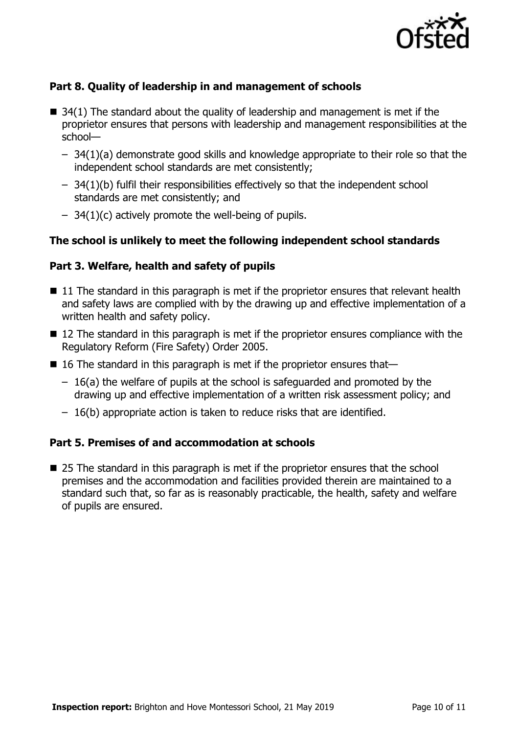

### **Part 8. Quality of leadership in and management of schools**

- $\blacksquare$  34(1) The standard about the quality of leadership and management is met if the proprietor ensures that persons with leadership and management responsibilities at the school—
	- 34(1)(a) demonstrate good skills and knowledge appropriate to their role so that the independent school standards are met consistently;
	- 34(1)(b) fulfil their responsibilities effectively so that the independent school standards are met consistently; and
	- $-$  34(1)(c) actively promote the well-being of pupils.

#### **The school is unlikely to meet the following independent school standards**

#### **Part 3. Welfare, health and safety of pupils**

- 11 The standard in this paragraph is met if the proprietor ensures that relevant health and safety laws are complied with by the drawing up and effective implementation of a written health and safety policy.
- 12 The standard in this paragraph is met if the proprietor ensures compliance with the Regulatory Reform (Fire Safety) Order 2005.
- 16 The standard in this paragraph is met if the proprietor ensures that-
	- 16(a) the welfare of pupils at the school is safeguarded and promoted by the drawing up and effective implementation of a written risk assessment policy; and
	- 16(b) appropriate action is taken to reduce risks that are identified.

#### **Part 5. Premises of and accommodation at schools**

■ 25 The standard in this paragraph is met if the proprietor ensures that the school premises and the accommodation and facilities provided therein are maintained to a standard such that, so far as is reasonably practicable, the health, safety and welfare of pupils are ensured.